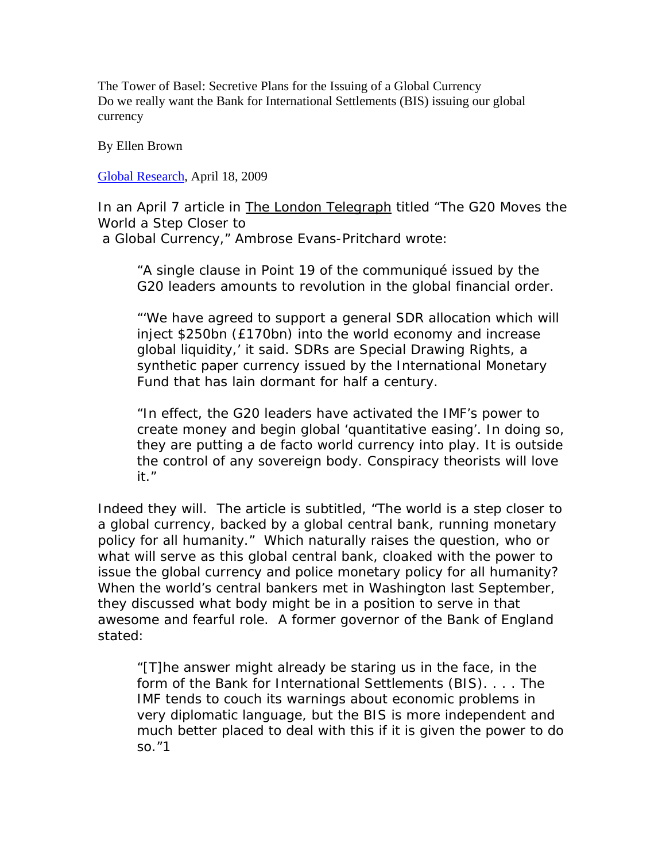The Tower of Basel: Secretive Plans for the Issuing of a Global Currency Do we really want the Bank for International Settlements (BIS) issuing our global currency

By Ellen Brown

Global Research, April 18, 2009

In an April 7 article in The London Telegraph titled "The G20 Moves the World a Step Closer to a Global Currency," Ambrose Evans-Pritchard wrote:

"A single clause in Point 19 of the communiqué issued by the G20 leaders amounts to revolution in the global financial order.

"'We have agreed to support a general SDR allocation which will inject \$250bn (£170bn) into the world economy and increase global liquidity,' it said. SDRs are Special Drawing Rights, a synthetic paper currency issued by the International Monetary Fund that has lain dormant for half a century.

"In effect, the G20 leaders have activated the IMF's power to create money and begin global 'quantitative easing'. In doing so, they are putting a de facto world currency into play. It is outside the control of any sovereign body. Conspiracy theorists will love it."

Indeed they will. The article is subtitled, "The world is a step closer to a global currency, backed by a global central bank, running monetary policy for all humanity." Which naturally raises the question, who or what will serve as this global central bank, cloaked with the power to issue the global currency and police monetary policy for all humanity? When the world's central bankers met in Washington last September, they discussed what body might be in a position to serve in that awesome and fearful role. A former governor of the Bank of England stated:

"[T]he answer might already be staring us in the face, in the form of the Bank for International Settlements (BIS). . . . The IMF tends to couch its warnings about economic problems in very diplomatic language, but the BIS is more independent and much better placed to deal with this if it is given the power to do so."1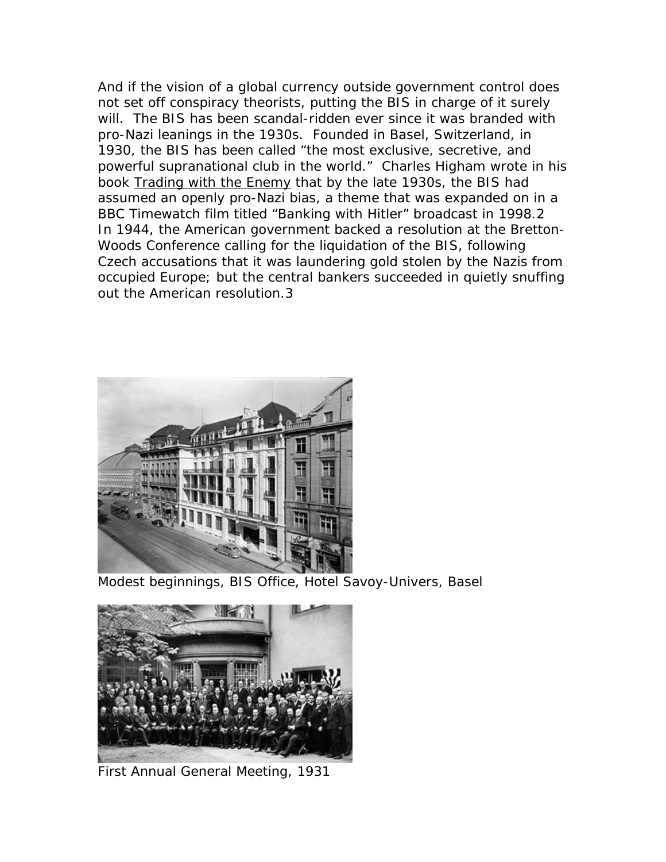And if the vision of a global currency outside government control does not set off conspiracy theorists, putting the BIS in charge of it surely will. The BIS has been scandal-ridden ever since it was branded with pro-Nazi leanings in the 1930s. Founded in Basel, Switzerland, in 1930, the BIS has been called "the most exclusive, secretive, and powerful supranational club in the world." Charles Higham wrote in his book Trading with the Enemy that by the late 1930s, the BIS had assumed an openly pro-Nazi bias, a theme that was expanded on in a BBC Timewatch film titled "Banking with Hitler" broadcast in 1998.2 In 1944, the American government backed a resolution at the Bretton-Woods Conference calling for the liquidation of the BIS, following Czech accusations that it was laundering gold stolen by the Nazis from occupied Europe; but the central bankers succeeded in quietly snuffing out the American resolution.3



Modest beginnings, BIS Office, Hotel Savoy-Univers, Basel



First Annual General Meeting, 1931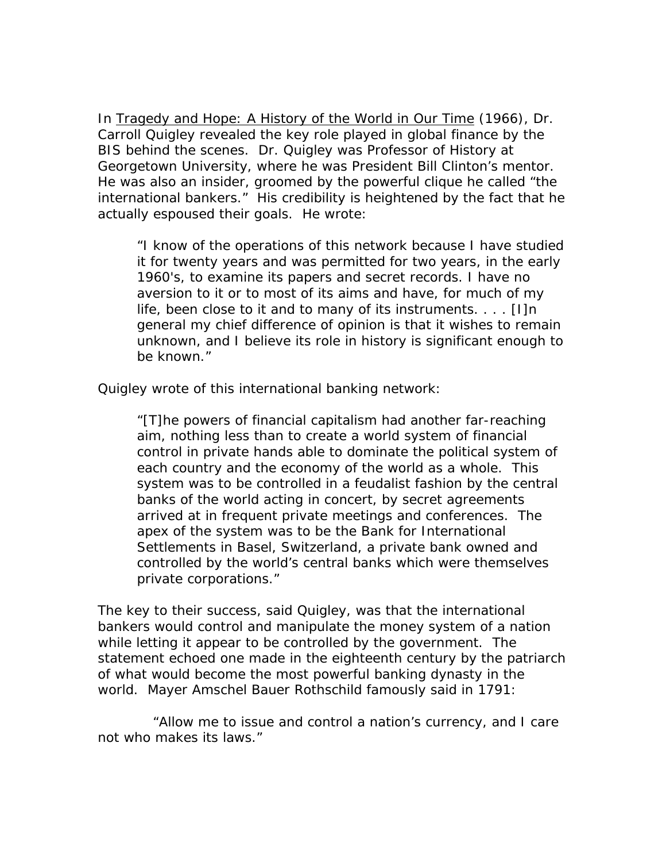In Tragedy and Hope: A History of the World in Our Time (1966), Dr. Carroll Quigley revealed the key role played in global finance by the BIS behind the scenes. Dr. Quigley was Professor of History at Georgetown University, where he was President Bill Clinton's mentor. He was also an insider, groomed by the powerful clique he called "the international bankers." His credibility is heightened by the fact that he actually espoused their goals. He wrote:

"I know of the operations of this network because I have studied it for twenty years and was permitted for two years, in the early 1960's, to examine its papers and secret records. I have no aversion to it or to most of its aims and have, for much of my life, been close to it and to many of its instruments. . . . [I]n general my chief difference of opinion is that it wishes to remain unknown, and I believe its role in history is significant enough to be known."

Quigley wrote of this international banking network:

"[T]he powers of financial capitalism had another far-reaching aim, nothing less than to create a world system of financial control in private hands able to dominate the political system of each country and the economy of the world as a whole. This system was to be controlled in a feudalist fashion by the central banks of the world acting in concert, by secret agreements arrived at in frequent private meetings and conferences. *The apex of the system was to be the Bank for International Settlements in Basel, Switzerland, a private bank owned and controlled by the world's central banks which were themselves private corporations*."

The key to their success, said Quigley, was that *the international bankers would control and manipulate the money system of a nation while letting it appear to be controlled by the government*. The statement echoed one made in the eighteenth century by the patriarch of what would become the most powerful banking dynasty in the world. Mayer Amschel Bauer Rothschild famously said in 1791:

 "Allow me to issue and control a nation's currency, and I care not who makes its laws."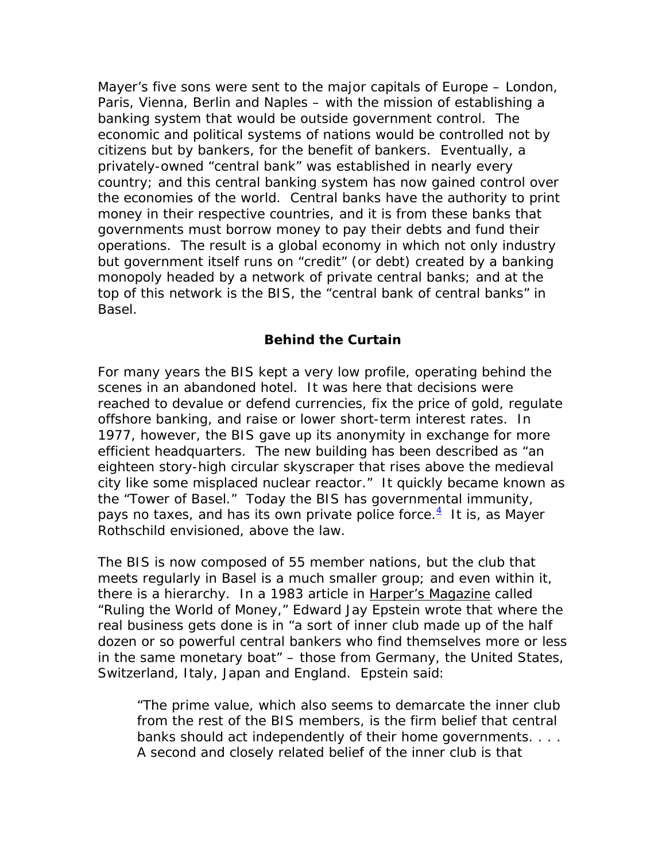Mayer's five sons were sent to the major capitals of Europe – London, Paris, Vienna, Berlin and Naples – with the mission of establishing a banking system that would be outside government control. The economic and political systems of nations would be controlled not by citizens but by bankers, for the benefit of bankers. Eventually, a privately-owned "central bank" was established in nearly every country; and this central banking system has now gained control over the economies of the world. Central banks have the authority to print money in their respective countries, and it is from these banks that governments must borrow money to pay their debts and fund their operations. The result is a global economy in which not only industry but government itself runs on "credit" (or debt) created by a banking monopoly headed by a network of private central banks; and at the top of this network is the BIS, the "central bank of central banks" in Basel.

## **Behind the Curtain**

For many years the BIS kept a very low profile, operating behind the scenes in an abandoned hotel. It was here that decisions were reached to devalue or defend currencies, fix the price of gold, regulate offshore banking, and raise or lower short-term interest rates. In 1977, however, the BIS gave up its anonymity in exchange for more efficient headquarters. The new building has been described as "an eighteen story-high circular skyscraper that rises above the medieval city like some misplaced nuclear reactor." It quickly became known as the "Tower of Basel." Today the BIS has governmental immunity, pays no taxes, and has its own private police force.<sup>4</sup> It is, as Mayer Rothschild envisioned, above the law.

The BIS is now composed of 55 member nations, but the club that meets regularly in Basel is a much smaller group; and even within it, there is a hierarchy. In a 1983 article in Harper's Magazine called "Ruling the World of Money," Edward Jay Epstein wrote that where the real business gets done is in "a sort of inner club made up of the half dozen or so powerful central bankers who find themselves more or less in the same monetary boat" – those from Germany, the United States, Switzerland, Italy, Japan and England. Epstein said:

"The prime value, which also seems to demarcate the inner club from the rest of the BIS members, is the firm belief that central banks should act independently of their home governments. . . . A second and closely related belief of the inner club is that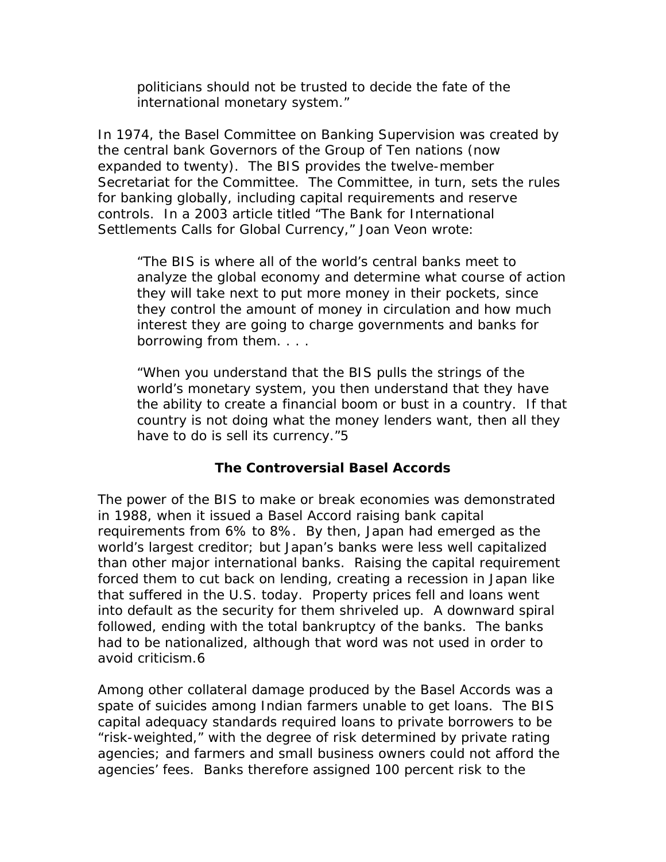politicians should not be trusted to decide the fate of the international monetary system."

In 1974, the Basel Committee on Banking Supervision was created by the central bank Governors of the Group of Ten nations (now expanded to twenty). The BIS provides the twelve-member Secretariat for the Committee. The Committee, in turn, sets the rules for banking globally, including capital requirements and reserve controls. In a 2003 article titled "The Bank for International Settlements Calls for Global Currency," Joan Veon wrote:

"The BIS is where all of the world's central banks meet to analyze the global economy and determine what course of action they will take next to put more money in their pockets, since they control the amount of money in circulation and how much interest they are going to charge governments and banks for borrowing from them. . . .

"When you understand that the BIS pulls the strings of the world's monetary system, you then understand that they have the ability to create a financial boom or bust in a country. If that country is not doing what the money lenders want, then all they have to do is sell its currency."5

## **The Controversial Basel Accords**

The power of the BIS to make or break economies was demonstrated in 1988, when it issued a Basel Accord raising bank capital requirements from 6% to 8%. By then, Japan had emerged as the world's largest creditor; but Japan's banks were less well capitalized than other major international banks. Raising the capital requirement forced them to cut back on lending, creating a recession in Japan like that suffered in the U.S. today. Property prices fell and loans went into default as the security for them shriveled up. A downward spiral followed, ending with the total bankruptcy of the banks. The banks had to be nationalized, although that word was not used in order to avoid criticism.6

Among other collateral damage produced by the Basel Accords was a spate of suicides among Indian farmers unable to get loans. The BIS capital adequacy standards required loans to private borrowers to be "risk-weighted," with the degree of risk determined by private rating agencies; and farmers and small business owners could not afford the agencies' fees. Banks therefore assigned 100 percent risk to the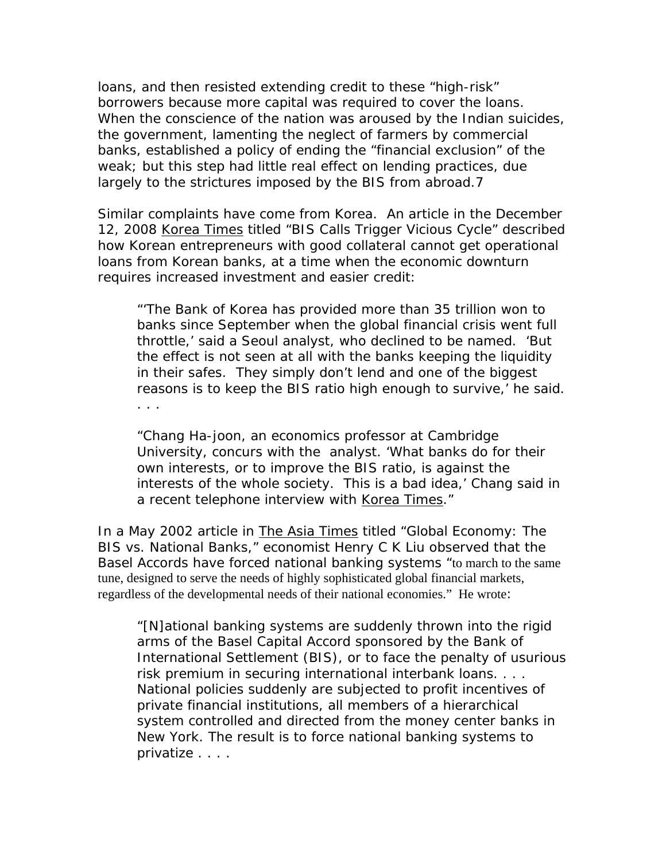loans, and then resisted extending credit to these "high-risk" borrowers because more capital was required to cover the loans. When the conscience of the nation was aroused by the Indian suicides, the government, lamenting the neglect of farmers by commercial banks, established a policy of ending the "financial exclusion" of the weak; but this step had little real effect on lending practices, due largely to the strictures imposed by the BIS from abroad.7

Similar complaints have come from Korea. An article in the December 12, 2008 Korea Times titled "BIS Calls Trigger Vicious Cycle" described how Korean entrepreneurs with good collateral cannot get operational loans from Korean banks, at a time when the economic downturn requires increased investment and easier credit:

"'The Bank of Korea has provided more than 35 trillion won to banks since September when the global financial crisis went full throttle,' said a Seoul analyst, who declined to be named. 'But the effect is not seen at all with the banks keeping the liquidity in their safes. They simply don't lend and *one of the biggest reasons is to keep the BIS ratio high enough to survive*,' he said.

"Chang Ha-joon, an economics professor at Cambridge University, concurs with the analyst. 'What banks do for their own interests, or to improve the BIS ratio, is against the interests of the whole society. This is a bad idea,' Chang said in a recent telephone interview with Korea Times."

In a May 2002 article in **The Asia Times titled "Global Economy: The** BIS vs. National Banks," economist Henry C K Liu observed that the Basel Accords have forced national banking systems "to march to the same tune, designed to serve the needs of highly sophisticated global financial markets, regardless of the developmental needs of their national economies." He wrote:

"[N]ational banking systems are suddenly thrown into the rigid arms of the Basel Capital Accord sponsored by the Bank of International Settlement (BIS), or to face the penalty of usurious risk premium in securing international interbank loans. . . . National policies suddenly are subjected to profit incentives of private financial institutions, all members of a hierarchical system controlled and directed from the money center banks in New York. The result is to force national banking systems to privatize . . . .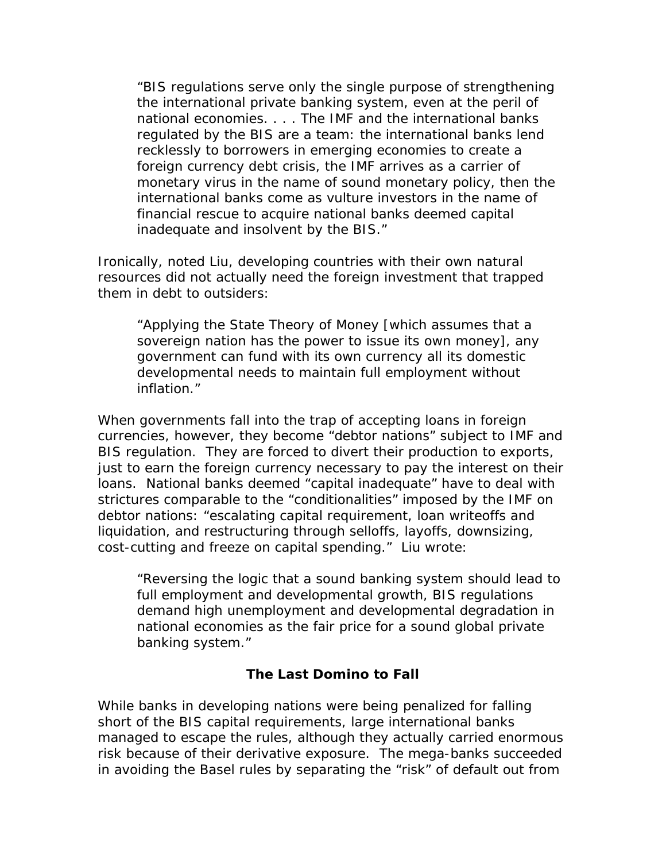"BIS regulations serve only the single purpose of strengthening the international private banking system, even at the peril of national economies. . . . The IMF and the international banks regulated by the BIS are a team: the international banks lend recklessly to borrowers in emerging economies to create a foreign currency debt crisis, the IMF arrives as a carrier of monetary virus in the name of sound monetary policy, then the international banks come as vulture investors in the name of financial rescue to acquire national banks deemed capital inadequate and insolvent by the BIS."

Ironically, noted Liu, developing countries with their own natural resources did not actually need the foreign investment that trapped them in debt to outsiders:

"Applying the State Theory of Money [which assumes that a sovereign nation has the power to issue its own money], any government can fund with its own currency all its domestic developmental needs to maintain full employment without inflation."

When governments fall into the trap of accepting loans in foreign currencies, however, they become "debtor nations" subject to IMF and BIS regulation. They are forced to divert their production to exports, just to earn the foreign currency necessary to pay the interest on their loans. National banks deemed "capital inadequate" have to deal with strictures comparable to the "conditionalities" imposed by the IMF on debtor nations: "escalating capital requirement, loan writeoffs and liquidation, and restructuring through selloffs, layoffs, downsizing, cost-cutting and freeze on capital spending." Liu wrote:

"Reversing the logic that a sound banking system should lead to full employment and developmental growth, BIS regulations demand high unemployment and developmental degradation in national economies as the fair price for a sound global private banking system."

## **The Last Domino to Fall**

While banks in developing nations were being penalized for falling short of the BIS capital requirements, large international banks managed to escape the rules, although they actually carried enormous risk because of their derivative exposure. The mega-banks succeeded in avoiding the Basel rules by separating the "risk" of default out from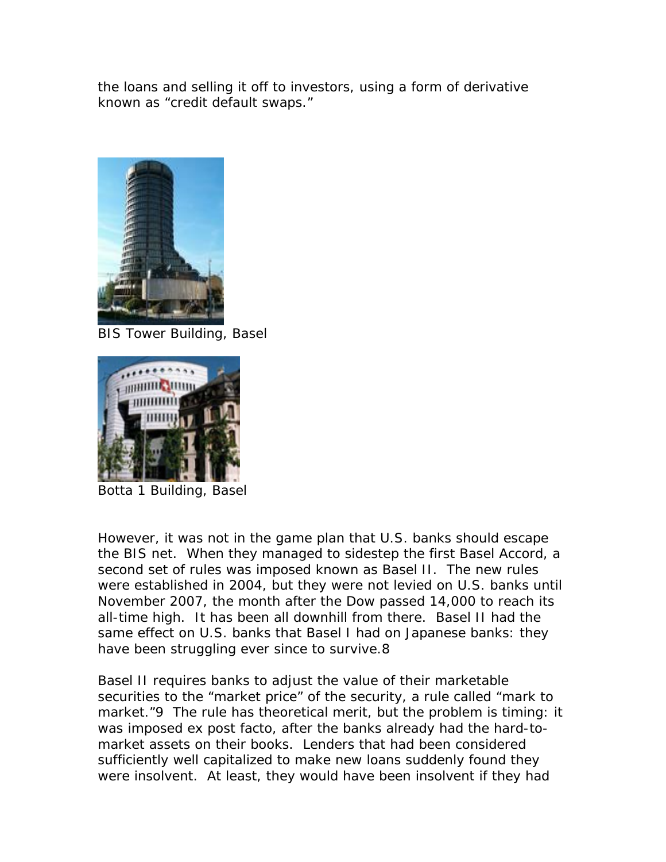the loans and selling it off to investors, using a form of derivative known as "credit default swaps."



BIS Tower Building, Basel



Botta 1 Building, Basel

However, it was not in the game plan that U.S. banks should escape the BIS net. When they managed to sidestep the first Basel Accord, a second set of rules was imposed known as Basel II. The new rules were established in 2004, but they were not levied on U.S. banks until November 2007, the month after the Dow passed 14,000 to reach its all-time high. It has been all downhill from there. Basel II had the same effect on U.S. banks that Basel I had on Japanese banks: they have been struggling ever since to survive.8

Basel II requires banks to adjust the value of their marketable securities to the "market price" of the security, a rule called "mark to market."9 The rule has theoretical merit, but the problem is timing: it was imposed *ex post facto*, after the banks already had the hard-tomarket assets on their books. Lenders that had been considered sufficiently well capitalized to make new loans suddenly found they were insolvent. At least, they would have been insolvent if they had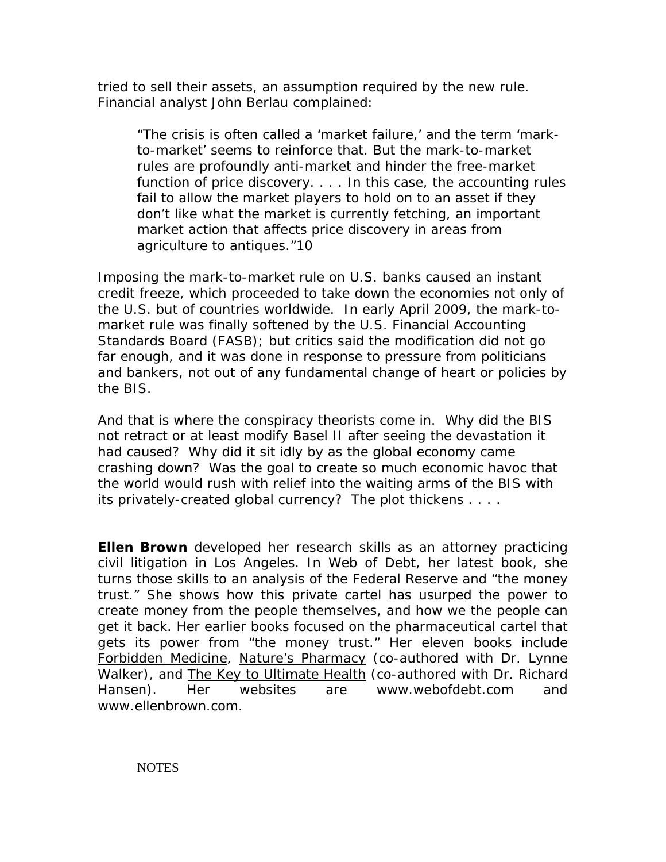tried to sell their assets, an assumption required by the new rule. Financial analyst John Berlau complained:

"The crisis is often called a 'market failure,' and the term 'markto-market' seems to reinforce that. But the mark-to-market rules are profoundly anti-market and hinder the free-market function of price discovery. . . . In this case, the accounting rules fail to allow the market players to hold on to an asset if they don't like what the market is currently fetching, an important market action that affects price discovery in areas from agriculture to antiques."10

Imposing the mark-to-market rule on U.S. banks caused an instant credit freeze, which proceeded to take down the economies not only of the U.S. but of countries worldwide. In early April 2009, the mark-tomarket rule was finally softened by the U.S. Financial Accounting Standards Board (FASB); but critics said the modification did not go far enough, and it was done in response to pressure from politicians and bankers, not out of any fundamental change of heart or policies by the BIS.

And that is where the conspiracy theorists come in. Why did the BIS not retract or at least modify Basel II after seeing the devastation it had caused? Why did it sit idly by as the global economy came crashing down? Was the goal to create so much economic havoc that the world would rush with relief into the waiting arms of the BIS with its privately-created global currency? The plot thickens . . . .

*Ellen Brown developed her research skills as an attorney practicing civil litigation in Los Angeles. In Web of Debt, her latest book, she turns those skills to an analysis of the Federal Reserve and "the money trust." She shows how this private cartel has usurped the power to create money from the people themselves, and how we the people can get it back. Her earlier books focused on the pharmaceutical cartel that gets its power from "the money trust." Her eleven books include Forbidden Medicine, Nature's Pharmacy (co-authored with Dr. Lynne Walker), and The Key to Ultimate Health (co-authored with Dr. Richard Hansen). Her websites are www.webofdebt.com and www.ellenbrown.com.* 

**NOTES**